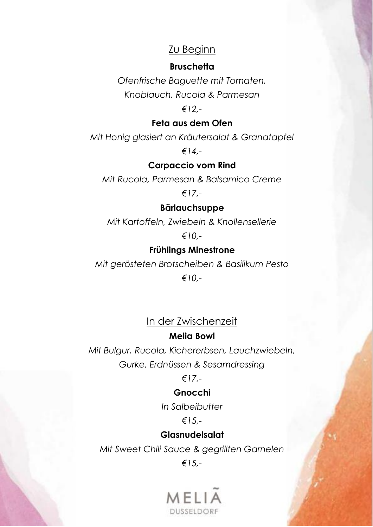# Zu Beginn

### **Bruschetta**

*Ofenfrische Baguette mit Tomaten, Knoblauch, Rucola & Parmesan*

### *€12,-*

### **Feta aus dem Ofen**

*Mit Honig glasiert an Kräutersalat & Granatapfel*

*€14,-*

### **Carpaccio vom Rind**

*Mit Rucola, Parmesan & Balsamico Creme*

# *€17,-*

#### **Bärlauchsuppe**

*Mit Kartoffeln, Zwiebeln & Knollensellerie*

*€10,-*

### **Frühlings Minestrone**

*Mit gerösteten Brotscheiben & Basilikum Pesto*

*€10,-*

# In der Zwischenzeit

#### **Melia Bowl**

*Mit Bulgur, Rucola, Kichererbsen, Lauchzwiebeln, Gurke, Erdnüssen & Sesamdressing*

*€17,-*

### **Gnocchi**

*In Salbeibutter*

### *€15,-*

#### **Glasnudelsalat**

*Mit Sweet Chili Sauce & gegrillten Garnelen*

*€15,-*

# 1 H I DUSSELDORF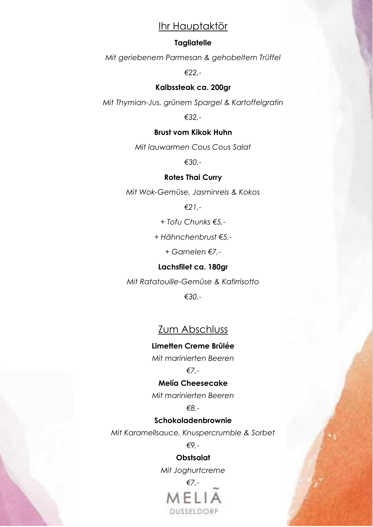# Ihr Hauptaktör

#### **Tagliatelle**

*Mit geriebenem Parmesan & gehobeltem Trüffel*

*€22,-*

#### **Kalbssteak ca. 200gr**

*Mit Thymian-Jus, grünem Spargel & Kartoffelgratin*

*€32,-*

#### **Brust vom Kikok Huhn**

*Mit lauwarmen Cous Cous Salat*

*€30,-*

#### **Rotes Thai Curry**

*Mit Wok-Gemüse, Jasminreis & Kokos*

*€21,-*

*+ Tofu Chunks €5,-*

*+ Hähnchenbrust €5,-*

*+ Garnelen €7,-*

#### **Lachsfilet ca. 180gr**

*Mit Ratatouille-Gemüse & Kafirrisotto*

*€30,-*

# Zum Abschluss

**Limetten Creme Brûlée**

*Mit marinierten Beeren*

*€7,-*

#### **Melía Cheesecake**

*Mit marinierten Beeren*

*€8,-*

#### **Schokoladenbrownie**

*Mit Karamellsauce, Knuspercrumble & Sorbet*

*€9,-*

### **Obstsalat**

*Mit Joghurtcreme*

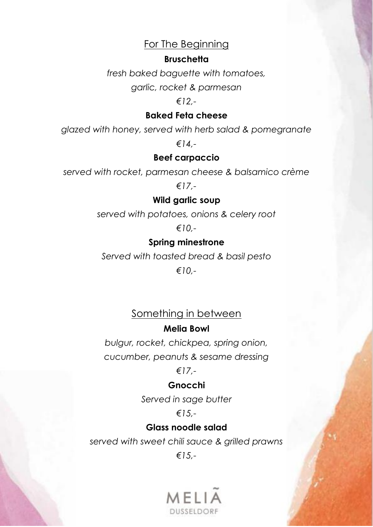# For The Beginning

### **Bruschetta**

*fresh baked baguette with tomatoes,*

*garlic, rocket & parmesan*

*€12,-*

### **Baked Feta cheese**

*glazed with honey, served with herb salad & pomegranate*

*€14,-*

# **Beef carpaccio**

*served with rocket, parmesan cheese & balsamico crème*

*€17,-*

# **Wild garlic soup**

*served with potatoes, onions & celery root*

*€10,-*

# **Spring minestrone**

*Served with toasted bread & basil pesto*

*€10,-*

# Something in between

# **Melia Bowl**

*bulgur, rocket, chickpea, spring onion, cucumber, peanuts & sesame dressing*

# *€17,-*

# **Gnocchi**

*Served in sage butter*

# *€15,-*

# **Glass noodle salad**

*served with sweet chili sauce & grilled prawns €15,-*